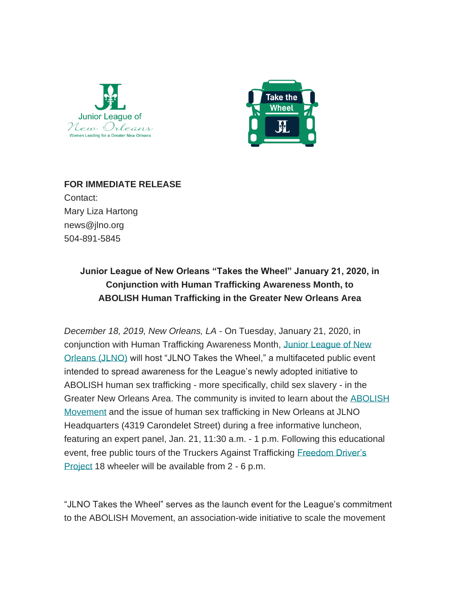



**FOR IMMEDIATE RELEASE** Contact: Mary Liza Hartong news@jlno.org 504-891-5845

## **Junior League of New Orleans "Takes the Wheel" January 21, 2020, in Conjunction with Human Trafficking Awareness Month, to ABOLISH Human Trafficking in the Greater New Orleans Area**

*December 18, 2019, New Orleans, LA* - On Tuesday, January 21, 2020, in conjunction with Human Trafficking Awareness Month, [Junior League of New](https://www.jlno.org/)  [Orleans \(JLNO\)](https://www.jlno.org/) will host "JLNO Takes the Wheel," a multifaceted public event intended to spread awareness for the League's newly adopted initiative to ABOLISH human sex trafficking - more specifically, child sex slavery - in the Greater New Orleans Area. The community is invited to learn about the [ABOLISH](https://abolishmovement.org/about-us/?)  [Movement](https://abolishmovement.org/about-us/?) and the issue of human sex trafficking in New Orleans at JLNO Headquarters (4319 Carondelet Street) during a free informative luncheon, featuring an expert panel, Jan. 21, 11:30 a.m. - 1 p.m. Following this educational event, free public tours of the Truckers Against Trafficking Freedom Driver's [Project](https://truckersagainsttrafficking.org/freedom-drivers-project-homepage/) 18 wheeler will be available from 2 - 6 p.m.

"JLNO Takes the Wheel" serves as the launch event for the League's commitment to the ABOLISH Movement, an association-wide initiative to scale the movement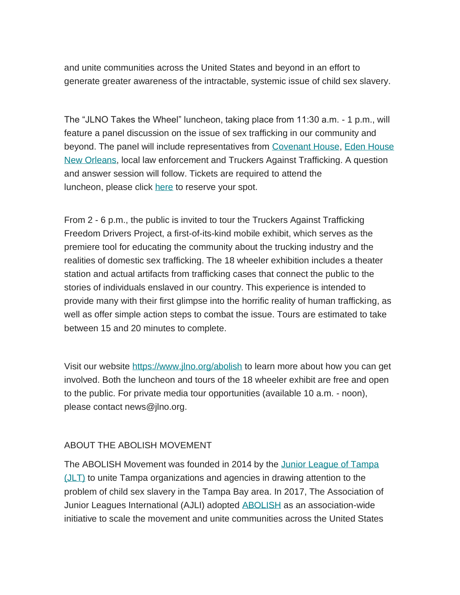and unite communities across the United States and beyond in an effort to generate greater awareness of the intractable, systemic issue of child sex slavery.

The "JLNO Takes the Wheel" luncheon, taking place from 11:30 a.m. - 1 p.m., will feature a panel discussion on the issue of sex trafficking in our community and beyond. The panel will include representatives from [Covenant House,](https://www.covenanthouse.org/) [Eden House](https://edenhousenola.org/)  [New Orleans,](https://edenhousenola.org/) local law enforcement and Truckers Against Trafficking. A question and answer session will follow. Tickets are required to attend the luncheon, please click [here](https://members.jlno.org/?nd=ticket_list&fundraiser_id=61) to reserve your spot.

From 2 - 6 p.m., the public is invited to tour the Truckers Against Trafficking Freedom Drivers Project, a first-of-its-kind mobile exhibit, which serves as the premiere tool for educating the community about the trucking industry and the realities of domestic sex trafficking. The 18 wheeler exhibition includes a theater station and actual artifacts from trafficking cases that connect the public to the stories of individuals enslaved in our country. This experience is intended to provide many with their first glimpse into the horrific reality of human trafficking, as well as offer simple action steps to combat the issue. Tours are estimated to take between 15 and 20 minutes to complete.

Visit our website [https://www.jlno.org/abolish](https://www.jlno.org/abolish/) to learn more about how you can get involved. Both the luncheon and tours of the 18 wheeler exhibit are free and open to the public. For private media tour opportunities (available 10 a.m. - noon), please contact news@jlno.org.

## ABOUT THE ABOLISH MOVEMENT

The ABOLISH Movement was founded in 2014 by the [Junior League of Tampa](https://www.jltampa.org/community/advocacy/the-abolish-movement/)  [\(JLT\)](https://www.jltampa.org/community/advocacy/the-abolish-movement/) to unite Tampa organizations and agencies in drawing attention to the problem of child sex slavery in the Tampa Bay area. In 2017, The Association of Junior Leagues International (AJLI) adopted [ABOLISH](https://abolishmovement.org/) as an association-wide initiative to scale the movement and unite communities across the United States